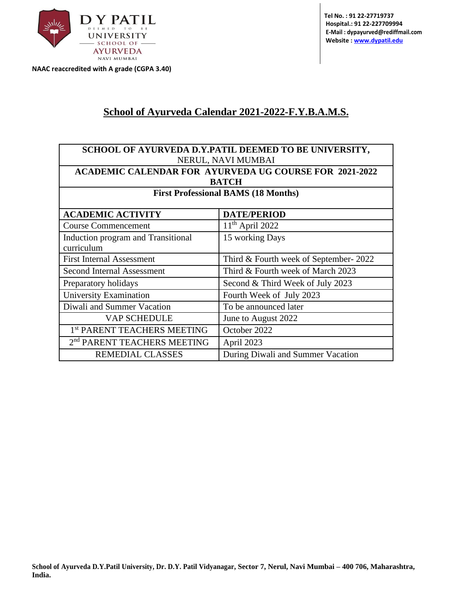

**NAAC reaccredited with A grade (CGPA 3.40)**

## **School of Ayurveda Calendar 2021-2022-F.Y.B.A.M.S.**

|                                         | SCHOOL OF AYURVEDA D.Y.PATIL DEEMED TO BE UNIVERSITY,         |  |  |  |  |  |
|-----------------------------------------|---------------------------------------------------------------|--|--|--|--|--|
| NERUL, NAVI MUMBAI                      |                                                               |  |  |  |  |  |
|                                         | <b>ACADEMIC CALENDAR FOR AYURVEDA UG COURSE FOR 2021-2022</b> |  |  |  |  |  |
|                                         | <b>BATCH</b>                                                  |  |  |  |  |  |
|                                         | <b>First Professional BAMS (18 Months)</b>                    |  |  |  |  |  |
|                                         |                                                               |  |  |  |  |  |
| <b>ACADEMIC ACTIVITY</b>                | <b>DATE/PERIOD</b>                                            |  |  |  |  |  |
| <b>Course Commencement</b>              | $11th$ April 2022                                             |  |  |  |  |  |
| Induction program and Transitional      | 15 working Days                                               |  |  |  |  |  |
| curriculum                              |                                                               |  |  |  |  |  |
| <b>First Internal Assessment</b>        | Third & Fourth week of September-2022                         |  |  |  |  |  |
| Second Internal Assessment              | Third & Fourth week of March 2023                             |  |  |  |  |  |
| Preparatory holidays                    | Second & Third Week of July 2023                              |  |  |  |  |  |
| University Examination                  | Fourth Week of July 2023                                      |  |  |  |  |  |
| Diwali and Summer Vacation              | To be announced later                                         |  |  |  |  |  |
| <b>VAP SCHEDULE</b>                     | June to August 2022                                           |  |  |  |  |  |
| 1 <sup>st</sup> PARENT TEACHERS MEETING | October 2022                                                  |  |  |  |  |  |
| 2 <sup>nd</sup> PARENT TEACHERS MEETING | April 2023                                                    |  |  |  |  |  |
| <b>REMEDIAL CLASSES</b>                 | During Diwali and Summer Vacation                             |  |  |  |  |  |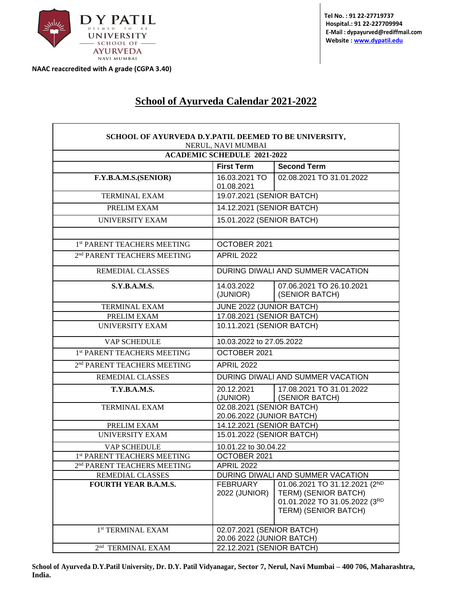

**NAAC reaccredited with A grade (CGPA 3.40)**

 $\mathsf{r}$ 

┑

## **School of Ayurveda Calendar 2021-2022**

| SCHOOL OF AYURVEDA D.Y.PATIL DEEMED TO BE UNIVERSITY, | NERUL, NAVI MUMBAI                                     |                                                                                                                |  |  |  |  |  |
|-------------------------------------------------------|--------------------------------------------------------|----------------------------------------------------------------------------------------------------------------|--|--|--|--|--|
| <b>ACADEMIC SCHEDULE 2021-2022</b>                    |                                                        |                                                                                                                |  |  |  |  |  |
|                                                       | <b>First Term</b>                                      | <b>Second Term</b>                                                                                             |  |  |  |  |  |
| F.Y.B.A.M.S.(SENIOR)                                  | 16.03.2021 TO<br>01.08.2021                            | 02.08.2021 TO 31.01.2022                                                                                       |  |  |  |  |  |
| <b>TERMINAL EXAM</b>                                  | 19.07.2021 (SENIOR BATCH)                              |                                                                                                                |  |  |  |  |  |
| PRELIM EXAM                                           | 14.12.2021 (SENIOR BATCH)                              |                                                                                                                |  |  |  |  |  |
| UNIVERSITY EXAM                                       | 15.01.2022 (SENIOR BATCH)                              |                                                                                                                |  |  |  |  |  |
|                                                       |                                                        |                                                                                                                |  |  |  |  |  |
| 1st PARENT TEACHERS MEETING                           | OCTOBER 2021                                           |                                                                                                                |  |  |  |  |  |
| 2 <sup>nd</sup> PARENT TEACHERS MEETING               | <b>APRIL 2022</b>                                      |                                                                                                                |  |  |  |  |  |
| <b>REMEDIAL CLASSES</b>                               |                                                        | DURING DIWALI AND SUMMER VACATION                                                                              |  |  |  |  |  |
| <b>S.Y.B.A.M.S.</b>                                   | 14.03.2022<br>(JUNIOR)                                 | 07.06.2021 TO 26.10.2021<br>(SENIOR BATCH)                                                                     |  |  |  |  |  |
| <b>TERMINAL EXAM</b>                                  | JUNE 2022 (JUNIOR BATCH)                               |                                                                                                                |  |  |  |  |  |
| PRELIM EXAM                                           | 17.08.2021 (SENIOR BATCH)                              |                                                                                                                |  |  |  |  |  |
| <b>UNIVERSITY EXAM</b>                                | 10.11.2021 (SENIOR BATCH)                              |                                                                                                                |  |  |  |  |  |
| VAP SCHEDULE                                          | 10.03.2022 to 27.05.2022                               |                                                                                                                |  |  |  |  |  |
| 1st PARENT TEACHERS MEETING                           | OCTOBER 2021                                           |                                                                                                                |  |  |  |  |  |
| 2 <sup>nd</sup> PARENT TEACHERS MEETING               | <b>APRIL 2022</b>                                      |                                                                                                                |  |  |  |  |  |
| <b>REMEDIAL CLASSES</b>                               |                                                        | DURING DIWALI AND SUMMER VACATION                                                                              |  |  |  |  |  |
| <b>T.Y.B.A.M.S.</b>                                   | 20.12.2021<br>(JUNIOR)                                 | 17.08.2021 TO 31.01.2022<br>(SENIOR BATCH)                                                                     |  |  |  |  |  |
| <b>TERMINAL EXAM</b>                                  | 02.08.2021 (SENIOR BATCH)<br>20.06.2022 (JUNIOR BATCH) |                                                                                                                |  |  |  |  |  |
| PRELIM EXAM                                           | 14.12.2021 (SENIOR BATCH)                              |                                                                                                                |  |  |  |  |  |
| <b>UNIVERSITY EXAM</b>                                | 15.01.2022 (SENIOR BATCH)                              |                                                                                                                |  |  |  |  |  |
| VAP SCHEDULE                                          | 10.01.22 to 30.04.22                                   |                                                                                                                |  |  |  |  |  |
| 1st PARENT TEACHERS MEETING                           | OCTOBER 2021                                           |                                                                                                                |  |  |  |  |  |
| 2 <sup>nd</sup> PARENT TEACHERS MEETING               | <b>APRIL 2022</b>                                      |                                                                                                                |  |  |  |  |  |
| REMEDIAL CLASSES                                      |                                                        | DURING DIWALI AND SUMMER VACATION                                                                              |  |  |  |  |  |
| <b>FOURTH YEAR B.A.M.S.</b>                           | <b>FEBRUARY</b><br>2022 (JUNIOR)                       | 01.06.2021 TO 31.12.2021 (2ND<br>TERM) (SENIOR BATCH)<br>01.01.2022 TO 31.05.2022 (3RD<br>TERM) (SENIOR BATCH) |  |  |  |  |  |
| 1 <sup>st</sup> TERMINAL EXAM                         | 02.07.2021 (SENIOR BATCH)<br>20.06 2022 (JUNIOR BATCH) |                                                                                                                |  |  |  |  |  |
| 2 <sup>nd</sup> TERMINAL EXAM                         | 22.12.2021 (SENIOR BATCH)                              |                                                                                                                |  |  |  |  |  |

**School of Ayurveda D.Y.Patil University, Dr. D.Y. Patil Vidyanagar, Sector 7, Nerul, Navi Mumbai – 400 706, Maharashtra, India.**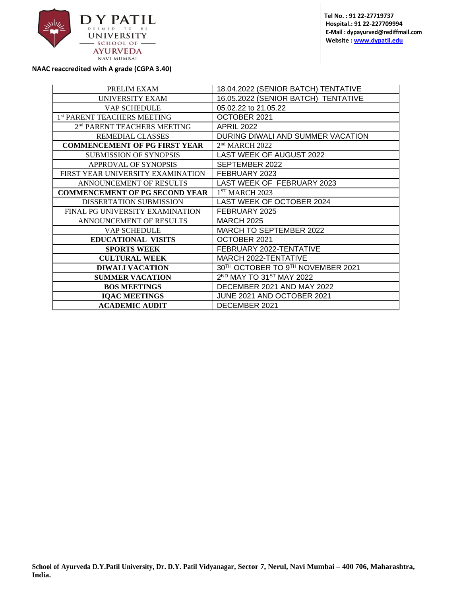

**Tel No. : 91 22-27719737 Hospital.: 91 22-227709994 E-Mail : dypayurved@rediffmail.com Website [: www.dypatil.edu](http://www.dypatil.edu/)**

**NAAC reaccredited with A grade (CGPA 3.40)**

| PRELIM EXAM                             | 18.04.2022 (SENIOR BATCH) TENTATIVE           |
|-----------------------------------------|-----------------------------------------------|
| <b>UNIVERSITY EXAM</b>                  | 16.05.2022 (SENIOR BATCH) TENTATIVE           |
| VAP SCHEDULE                            | 05.02.22 to 21.05.22                          |
| 1st PARENT TEACHERS MEETING             | OCTOBER 2021                                  |
| 2 <sup>nd</sup> PARENT TEACHERS MEETING | <b>APRIL 2022</b>                             |
| <b>REMEDIAL CLASSES</b>                 | DURING DIWALI AND SUMMER VACATION             |
| <b>COMMENCEMENT OF PG FIRST YEAR</b>    | 2 <sup>nd</sup> MARCH 2022                    |
| <b>SUBMISSION OF SYNOPSIS</b>           | LAST WEEK OF AUGUST 2022                      |
| APPROVAL OF SYNOPSIS                    | SEPTEMBER 2022                                |
| FIRST YEAR UNIVERSITY EXAMINATION       | FEBRUARY 2023                                 |
| ANNOUNCEMENT OF RESULTS                 | LAST WEEK OF FEBRUARY 2023                    |
| <b>COMMENCEMENT OF PG SECOND YEAR</b>   | 1 <sup>ST</sup> MARCH 2023                    |
| <b>DISSERTATION SUBMISSION</b>          | LAST WEEK OF OCTOBER 2024                     |
| FINAL PG UNIVERSITY EXAMINATION         | FEBRUARY 2025                                 |
| ANNOUNCEMENT OF RESULTS                 | <b>MARCH 2025</b>                             |
| VAP SCHEDULE                            | <b>MARCH TO SEPTEMBER 2022</b>                |
| <b>EDUCATIONAL VISITS</b>               | OCTOBER 2021                                  |
| <b>SPORTS WEEK</b>                      | FEBRUARY 2022-TENTATIVE                       |
| <b>CULTURAL WEEK</b>                    | <b>MARCH 2022-TENTATIVE</b>                   |
| <b>DIWALI VACATION</b>                  | 30 <sup>TH</sup> OCTOBER TO 9TH NOVEMBER 2021 |
| <b>SUMMER VACATION</b>                  | 2ND MAY TO 31ST MAY 2022                      |
| <b>BOS MEETINGS</b>                     | DECEMBER 2021 AND MAY 2022                    |
| <b>IQAC MEETINGS</b>                    | JUNE 2021 AND OCTOBER 2021                    |
| <b>ACADEMIC AUDIT</b>                   | DECEMBER 2021                                 |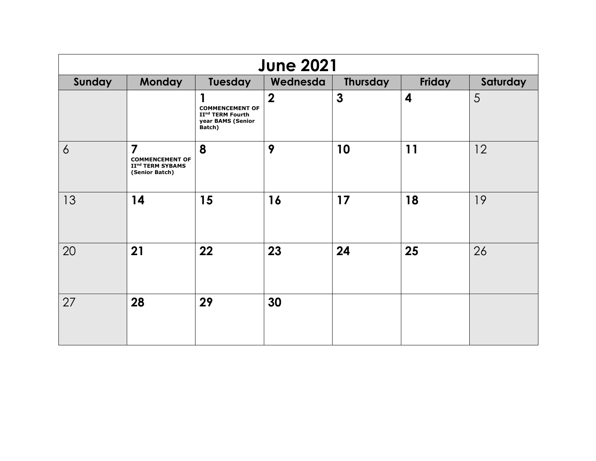| <b>June 2021</b> |                                                                                            |                                                                                       |                  |              |                  |    |  |  |
|------------------|--------------------------------------------------------------------------------------------|---------------------------------------------------------------------------------------|------------------|--------------|------------------|----|--|--|
| Sunday           | <b>Monday</b><br>Tuesday<br>Friday<br>Saturday<br>Wednesda<br><b>Thursday</b>              |                                                                                       |                  |              |                  |    |  |  |
|                  |                                                                                            | <b>COMMENCEMENT OF</b><br>II <sup>nd</sup> TERM Fourth<br>year BAMS (Senior<br>Batch) | $\boldsymbol{2}$ | $\mathbf{3}$ | $\boldsymbol{4}$ | 5  |  |  |
| $\overline{6}$   | $\overline{7}$<br><b>COMMENCEMENT OF</b><br>II <sup>nd</sup> TERM SYBAMS<br>(Senior Batch) | 8                                                                                     | 9                | 10           | 11               | 12 |  |  |
| 13               | 14                                                                                         | 15                                                                                    | 16               | 17           | 18               | 19 |  |  |
| 20               | 21                                                                                         | 22                                                                                    | 23               | 24           | 25               | 26 |  |  |
| 27               | 28                                                                                         | 29                                                                                    | 30               |              |                  |    |  |  |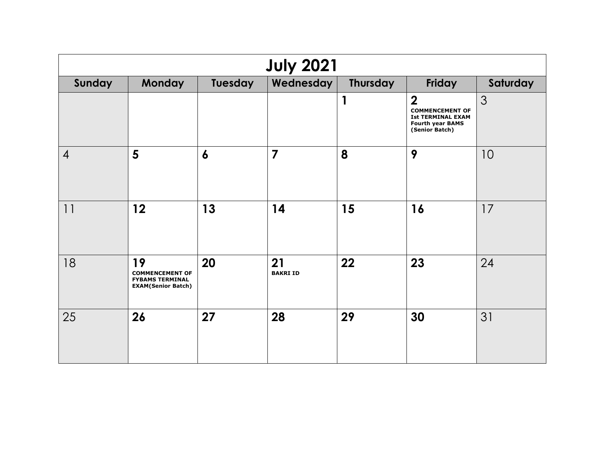| <b>July 2021</b> |                                                                                     |                  |                       |                 |                                                                                                                     |          |  |  |
|------------------|-------------------------------------------------------------------------------------|------------------|-----------------------|-----------------|---------------------------------------------------------------------------------------------------------------------|----------|--|--|
| Sunday           | Monday                                                                              | Tuesday          | Wednesday             | <b>Thursday</b> | Friday                                                                                                              | Saturday |  |  |
|                  |                                                                                     |                  |                       | 1               | $\boldsymbol{2}$<br><b>COMMENCEMENT OF</b><br><b>Ist TERMINAL EXAM</b><br><b>Fourth year BAMS</b><br>(Senior Batch) | 3        |  |  |
| $\overline{4}$   | 5                                                                                   | $\boldsymbol{6}$ | $\overline{7}$        | 8               | 9                                                                                                                   | 10       |  |  |
| 11               | 12                                                                                  | 13               | 14                    | 15              | 16                                                                                                                  | 17       |  |  |
| 18               | 19<br><b>COMMENCEMENT OF</b><br><b>FYBAMS TERMINAL</b><br><b>EXAM(Senior Batch)</b> | 20               | 21<br><b>BAKRI ID</b> | 22              | 23                                                                                                                  | 24       |  |  |
| 25               | 26                                                                                  | 27               | 28                    | 29              | 30                                                                                                                  | 31       |  |  |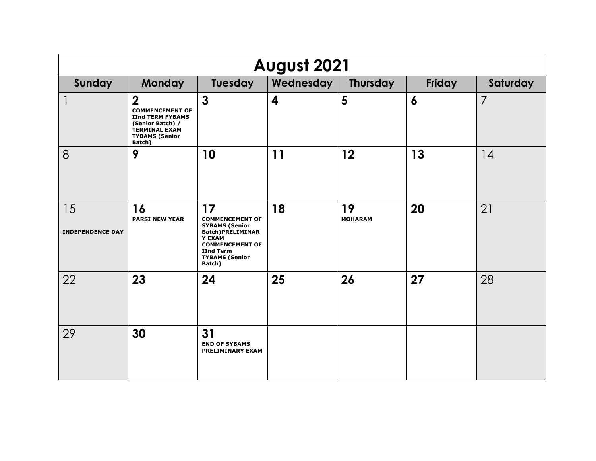| August 2021                   |                                                                                                                                                    |                                                                                                                                                                             |                         |                      |                  |                |
|-------------------------------|----------------------------------------------------------------------------------------------------------------------------------------------------|-----------------------------------------------------------------------------------------------------------------------------------------------------------------------------|-------------------------|----------------------|------------------|----------------|
| Sunday                        | <b>Monday</b>                                                                                                                                      | Tuesday                                                                                                                                                                     | Wednesday               | <b>Thursday</b>      | Friday           | Saturday       |
| 1                             | $\overline{2}$<br><b>COMMENCEMENT OF</b><br><b>IInd TERM FYBAMS</b><br>(Senior Batch) /<br><b>TERMINAL EXAM</b><br><b>TYBAMS (Senior</b><br>Batch) | $\mathbf{3}$                                                                                                                                                                | $\overline{\mathbf{4}}$ | 5                    | $\boldsymbol{6}$ | $\overline{7}$ |
| 8                             | 9                                                                                                                                                  | 10                                                                                                                                                                          | 11                      | 12                   | 13               | 14             |
| 15<br><b>INDEPENDENCE DAY</b> | 16<br><b>PARSI NEW YEAR</b>                                                                                                                        | 17<br><b>COMMENCEMENT OF</b><br><b>SYBAMS (Senior</b><br><b>Batch)PRELIMINAR</b><br>Y EXAM<br><b>COMMENCEMENT OF</b><br><b>IInd Term</b><br><b>TYBAMS (Senior</b><br>Batch) | 18                      | 19<br><b>MOHARAM</b> | 20               | 21             |
| 22                            | 23                                                                                                                                                 | 24                                                                                                                                                                          | 25                      | 26                   | 27               | 28             |
| 29                            | 30                                                                                                                                                 | 31<br><b>END OF SYBAMS</b><br><b>PRELIMINARY EXAM</b>                                                                                                                       |                         |                      |                  |                |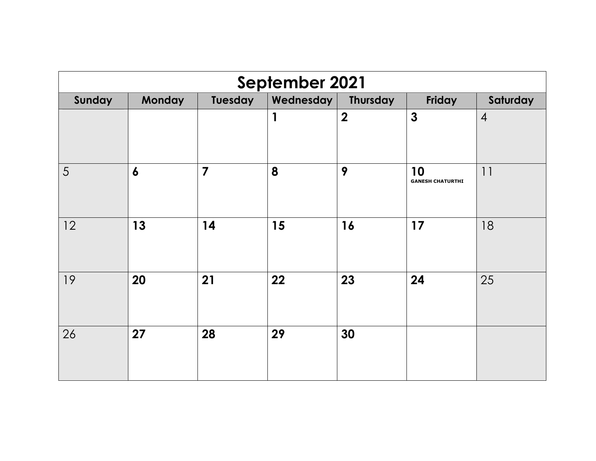| September 2021 |                  |                                                               |    |                  |                               |                |  |  |
|----------------|------------------|---------------------------------------------------------------|----|------------------|-------------------------------|----------------|--|--|
| Sunday         | <b>Monday</b>    | <b>Tuesday</b><br>Wednesday<br>Thursday<br>Friday<br>Saturday |    |                  |                               |                |  |  |
|                |                  |                                                               | 1  | $\boldsymbol{2}$ | $\mathbf{3}$                  | $\overline{4}$ |  |  |
| 5              | $\boldsymbol{6}$ | $\overline{\mathbf{z}}$                                       | 8  | 9                | 10<br><b>GANESH CHATURTHI</b> | 11             |  |  |
| 12             | 13               | 14                                                            | 15 | 16               | 17                            | 18             |  |  |
| 19             | 20               | 21                                                            | 22 | 23               | 24                            | 25             |  |  |
| 26             | 27               | 28                                                            | 29 | 30               |                               |                |  |  |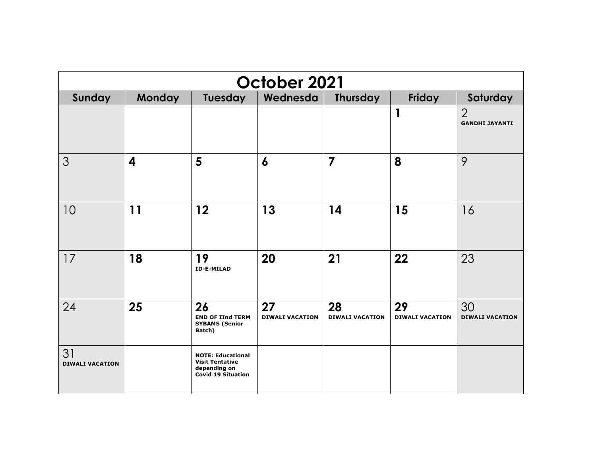| October 2021                 |               |                                                                                                 |                              |                              |                              |                                         |  |
|------------------------------|---------------|-------------------------------------------------------------------------------------------------|------------------------------|------------------------------|------------------------------|-----------------------------------------|--|
| Sunday                       | <b>Monday</b> | <b>Tuesday</b>                                                                                  | Wednesda                     | <b>Thursday</b>              | <b>Friday</b>                | Saturday                                |  |
|                              |               |                                                                                                 |                              |                              | $\mathbf 1$                  | $\overline{2}$<br><b>GANDHI JAYANTI</b> |  |
| 3                            | 4             | 5                                                                                               | $\boldsymbol{6}$             | $\overline{7}$               | 8                            | 9                                       |  |
| 10                           | 11            | $12 \overline{ }$                                                                               | 13                           | 14                           | 15                           | 16                                      |  |
| 17                           | 18            | 19<br><b>ID-E-MILAD</b>                                                                         | 20                           | 21                           | 22                           | 23                                      |  |
| 24                           | 25            | 26<br><b>END OF IInd TERM</b><br><b>SYBAMS (Senior</b><br>Batch)                                | 27<br><b>DIWALI VACATION</b> | 28<br><b>DIWALI VACATION</b> | 29<br><b>DIWALI VACATION</b> | 30<br><b>DIWALI VACATION</b>            |  |
| 31<br><b>DIWALI VACATION</b> |               | <b>NOTE: Educational</b><br><b>Visit Tentative</b><br>depending on<br><b>Covid 19 Situation</b> |                              |                              |                              |                                         |  |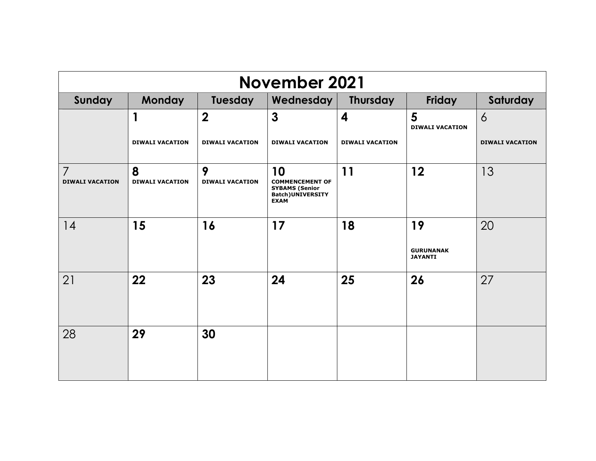| <b>November 2021</b>                     |                             |                             |                                                                                                  |                        |                                          |                        |  |
|------------------------------------------|-----------------------------|-----------------------------|--------------------------------------------------------------------------------------------------|------------------------|------------------------------------------|------------------------|--|
| Sunday                                   | <b>Monday</b>               | Tuesday                     | Wednesday                                                                                        | <b>Thursday</b>        | Friday                                   | Saturday               |  |
|                                          | $\mathbf 1$                 | $\boldsymbol{2}$            | 3                                                                                                | $\boldsymbol{4}$       | 5<br><b>DIWALI VACATION</b>              | $\overline{6}$         |  |
|                                          | <b>DIWALI VACATION</b>      | <b>DIWALI VACATION</b>      | <b>DIWALI VACATION</b>                                                                           | <b>DIWALI VACATION</b> |                                          | <b>DIWALI VACATION</b> |  |
| $\overline{7}$<br><b>DIWALI VACATION</b> | 8<br><b>DIWALI VACATION</b> | 9<br><b>DIWALI VACATION</b> | 10<br><b>COMMENCEMENT OF</b><br><b>SYBAMS (Senior</b><br><b>Batch) UNIVERSITY</b><br><b>EXAM</b> | 11                     | 12                                       | 13                     |  |
| 14                                       | 15                          | 16                          | 17                                                                                               | 18                     | 19<br><b>GURUNANAK</b><br><b>JAYANTI</b> | 20                     |  |
| 21                                       | 22                          | 23                          | 24                                                                                               | 25                     | 26                                       | 27                     |  |
| 28                                       | 29                          | 30                          |                                                                                                  |                        |                                          |                        |  |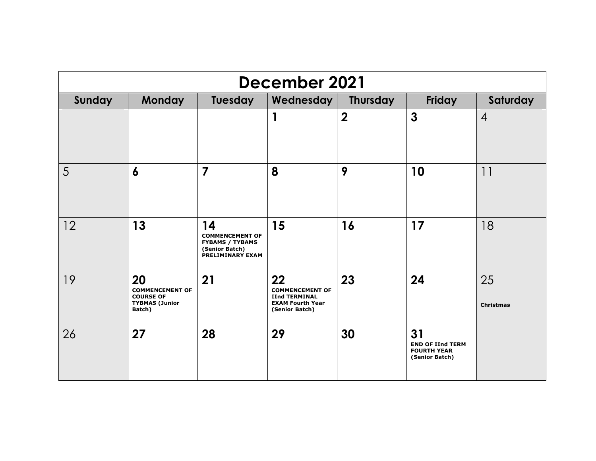| December 2021 |                                                                                     |                                                                                                     |                                                                                                   |                  |                                                                       |                        |  |  |
|---------------|-------------------------------------------------------------------------------------|-----------------------------------------------------------------------------------------------------|---------------------------------------------------------------------------------------------------|------------------|-----------------------------------------------------------------------|------------------------|--|--|
| Sunday        | Tuesday<br>Wednesday<br>Friday<br><b>Monday</b><br><b>Thursday</b><br>Saturday      |                                                                                                     |                                                                                                   |                  |                                                                       |                        |  |  |
|               |                                                                                     |                                                                                                     | 1                                                                                                 | $\boldsymbol{2}$ | $\mathbf{3}$                                                          | $\overline{4}$         |  |  |
| 5             | $\boldsymbol{6}$                                                                    | $\overline{7}$                                                                                      | 8                                                                                                 | 9                | 10                                                                    | 11                     |  |  |
| 12            | 13                                                                                  | 14<br><b>COMMENCEMENT OF</b><br><b>FYBAMS / TYBAMS</b><br>(Senior Batch)<br><b>PRELIMINARY EXAM</b> | 15                                                                                                | 16               | 17                                                                    | 18                     |  |  |
| 19            | 20<br><b>COMMENCEMENT OF</b><br><b>COURSE OF</b><br><b>TYBMAS (Junior</b><br>Batch) | 21                                                                                                  | 22<br><b>COMMENCEMENT OF</b><br><b>IInd TERMINAL</b><br><b>EXAM Fourth Year</b><br>(Senior Batch) | 23               | 24                                                                    | 25<br><b>Christmas</b> |  |  |
| 26            | 27                                                                                  | 28                                                                                                  | 29                                                                                                | 30               | 31<br><b>END OF IInd TERM</b><br><b>FOURTH YEAR</b><br>(Senior Batch) |                        |  |  |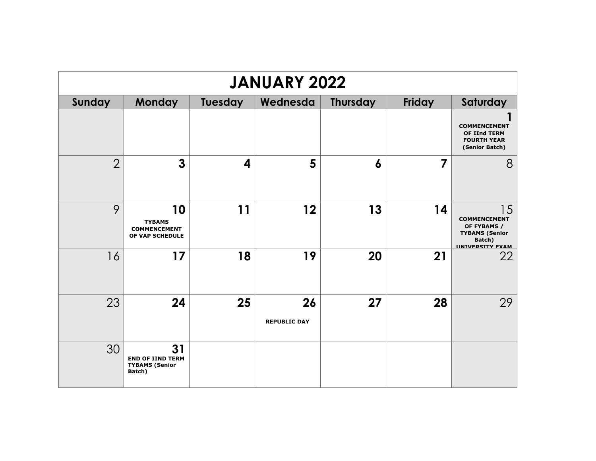| <b>JANUARY 2022</b> |                                                                  |                         |                           |                  |        |                                                                                                        |  |  |
|---------------------|------------------------------------------------------------------|-------------------------|---------------------------|------------------|--------|--------------------------------------------------------------------------------------------------------|--|--|
| Sunday              | Monday                                                           | Tuesday                 | Wednesda                  | <b>Thursday</b>  | Friday | Saturday                                                                                               |  |  |
|                     |                                                                  |                         |                           |                  |        | <b>COMMENCEMENT</b><br><b>OF IInd TERM</b><br><b>FOURTH YEAR</b><br>(Senior Batch)                     |  |  |
| $\overline{2}$      | $\mathbf{3}$                                                     | $\overline{\mathbf{4}}$ | 5                         | $\boldsymbol{6}$ | 7      | 8                                                                                                      |  |  |
| 9                   | 10<br><b>TYBAMS</b><br><b>COMMENCEMENT</b><br>OF VAP SCHEDULE    | 11                      | 12                        | 13               | 14     | 15<br><b>COMMENCEMENT</b><br>OF FYBAMS /<br><b>TYBAMS (Senior</b><br>Batch)<br><b>IINTVERSITY FXAM</b> |  |  |
| 16                  | 17                                                               | 18                      | 19                        | 20               | 21     | 22                                                                                                     |  |  |
| 23                  | 24                                                               | 25                      | 26<br><b>REPUBLIC DAY</b> | 27               | 28     | 29                                                                                                     |  |  |
| 30                  | 31<br><b>END OF IIND TERM</b><br><b>TYBAMS (Senior</b><br>Batch) |                         |                           |                  |        |                                                                                                        |  |  |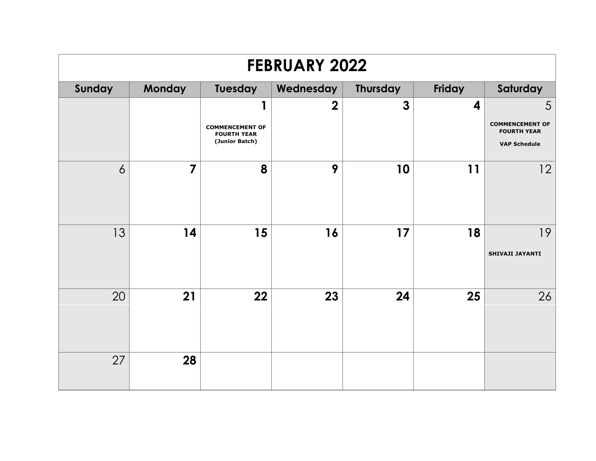| <b>FEBRUARY 2022</b> |                                                                         |                                                                |                |              |    |                                              |  |  |
|----------------------|-------------------------------------------------------------------------|----------------------------------------------------------------|----------------|--------------|----|----------------------------------------------|--|--|
| Sunday               | <b>Monday</b><br>Tuesday<br>Thursday<br>Friday<br>Saturday<br>Wednesday |                                                                |                |              |    |                                              |  |  |
|                      |                                                                         | п                                                              | $\overline{2}$ | $\mathbf{3}$ | 4  | 5                                            |  |  |
|                      |                                                                         | <b>COMMENCEMENT OF</b><br><b>FOURTH YEAR</b><br>(Junior Batch) |                |              |    | <b>COMMENCEMENT OF</b><br><b>FOURTH YEAR</b> |  |  |
|                      |                                                                         |                                                                |                |              |    | <b>VAP Schedule</b>                          |  |  |
| $\overline{6}$       | $\overline{7}$                                                          | 8                                                              | 9              | 10           | 11 | 12                                           |  |  |
| 13                   | 14                                                                      | 15                                                             | 16             | 17           | 18 | 19<br>SHIVAJI JAYANTI                        |  |  |
| 20                   | 21                                                                      | 22                                                             | 23             | 24           | 25 | 26                                           |  |  |
| 27                   | 28                                                                      |                                                                |                |              |    |                                              |  |  |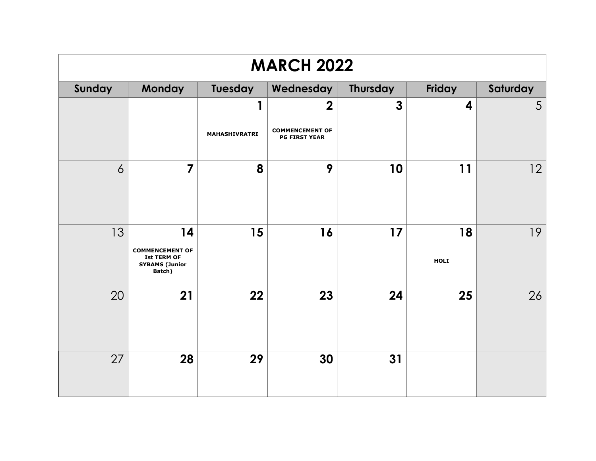| <b>MARCH 2022</b> |        |                                                                                       |               |                                                |                 |            |                 |
|-------------------|--------|---------------------------------------------------------------------------------------|---------------|------------------------------------------------|-----------------|------------|-----------------|
|                   | Sunday | <b>Monday</b>                                                                         | Tuesday       | Wednesday                                      | <b>Thursday</b> | Friday     | Saturday        |
|                   |        |                                                                                       | 1             | $\mathbf 2$                                    | $\mathbf{3}$    | 4          | $5\overline{)}$ |
|                   |        |                                                                                       | MAHASHIVRATRI | <b>COMMENCEMENT OF</b><br><b>PG FIRST YEAR</b> |                 |            |                 |
| $\overline{6}$    |        | $\overline{7}$                                                                        | 8             | 9                                              | 10              | 11         | 2               |
| 13                |        | 14<br><b>COMMENCEMENT OF</b><br><b>Ist TERM OF</b><br><b>SYBAMS (Junior</b><br>Batch) | 15            | 16                                             | 17              | 18<br>HOLI | 19              |
| 20                |        | 21                                                                                    | 22            | 23                                             | 24              | 25         | 26              |
|                   | 27     | 28                                                                                    | 29            | 30                                             | 31              |            |                 |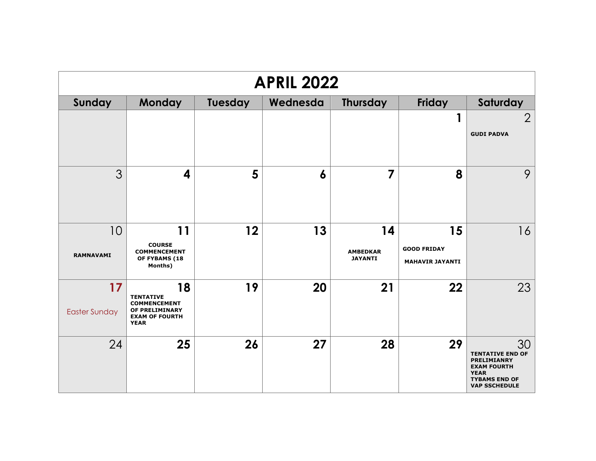| <b>APRIL 2022</b>          |                                                                                                         |                |          |                                         |                                                    |                                                                                                                                          |  |
|----------------------------|---------------------------------------------------------------------------------------------------------|----------------|----------|-----------------------------------------|----------------------------------------------------|------------------------------------------------------------------------------------------------------------------------------------------|--|
| Sunday                     | <b>Monday</b>                                                                                           | <b>Tuesday</b> | Wednesda | Thursday                                | <b>Friday</b>                                      | Saturday                                                                                                                                 |  |
|                            |                                                                                                         |                |          |                                         |                                                    | $\overline{2}$<br><b>GUDI PADVA</b>                                                                                                      |  |
| 3                          | 4                                                                                                       | 5              | 6        | $\overline{7}$                          | 8                                                  | 9                                                                                                                                        |  |
| 10<br><b>RAMNAVAMI</b>     | 11<br><b>COURSE</b><br><b>COMMENCEMENT</b><br>OF FYBAMS (18<br>Months)                                  | 12             | 13       | 14<br><b>AMBEDKAR</b><br><b>JAYANTI</b> | 15<br><b>GOOD FRIDAY</b><br><b>MAHAVIR JAYANTI</b> | 16                                                                                                                                       |  |
| 17<br><b>Easter Sunday</b> | 18<br><b>TENTATIVE</b><br><b>COMMENCEMENT</b><br>OF PRELIMINARY<br><b>EXAM OF FOURTH</b><br><b>YEAR</b> | 19             | 20       | 21                                      | 22                                                 | 23                                                                                                                                       |  |
| 24                         | 25                                                                                                      | 26             | 27       | 28                                      | 29                                                 | 30<br><b>TENTATIVE END OF</b><br><b>PRELIMIANRY</b><br><b>EXAM FOURTH</b><br><b>YEAR</b><br><b>TYBAMS END OF</b><br><b>VAP SSCHEDULE</b> |  |